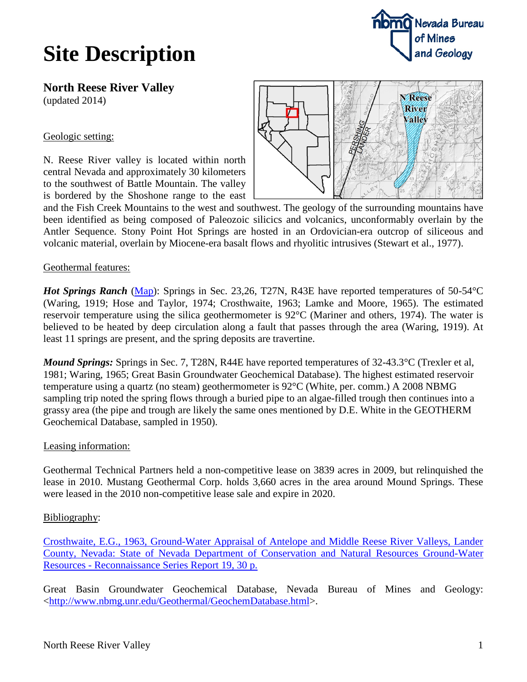# **Site Description**



**North Reese River Valley** (updated 2014)

## Geologic setting:

N. Reese River valley is located within north central Nevada and approximately 30 kilometers to the southwest of Battle Mountain. The valley is bordered by the Shoshone range to the east



and the Fish Creek Mountains to the west and southwest. The geology of the surrounding mountains have been identified as being composed of Paleozoic silicics and volcanics, unconformably overlain by the Antler Sequence. Stony Point Hot Springs are hosted in an Ordovician-era outcrop of siliceous and volcanic material, overlain by Miocene-era basalt flows and rhyolitic intrusives (Stewart et al., 1977).

## Geothermal features:

*Hot Springs Ranch* [\(Map\)](http://www.nbmg.unr.edu/geothermal/detailedmaps/Hot%20Springs%20Ranch.pdf): Springs in Sec. 23,26, T27N, R43E have reported temperatures of 50-54<sup>o</sup>C (Waring, 1919; Hose and Taylor, 1974; Crosthwaite, 1963; Lamke and Moore, 1965). The estimated reservoir temperature using the silica geothermometer is 92°C (Mariner and others, 1974). The water is believed to be heated by deep circulation along a fault that passes through the area (Waring, 1919). At least 11 springs are present, and the spring deposits are travertine.

*Mound Springs:* Springs in Sec. 7, T28N, R44E have reported temperatures of 32-43.3<sup>o</sup>C (Trexler et al, 1981; Waring, 1965; Great Basin Groundwater Geochemical Database). The highest estimated reservoir temperature using a quartz (no steam) geothermometer is 92°C (White, per. comm.) A 2008 NBMG sampling trip noted the spring flows through a buried pipe to an algae-filled trough then continues into a grassy area (the pipe and trough are likely the same ones mentioned by D.E. White in the GEOTHERM Geochemical Database, sampled in 1950).

## Leasing information:

Geothermal Technical Partners held a non-competitive lease on 3839 acres in 2009, but relinquished the lease in 2010. Mustang Geothermal Corp. holds 3,660 acres in the area around Mound Springs. These were leased in the 2010 non-competitive lease sale and expire in 2020.

#### Bibliography:

[Crosthwaite, E.G., 1963, Ground-Water Appraisal of Antelope and Middle Reese River Valleys, Lander](ftp://ftp.nbmg.unr.edu/pub/Geothermal/11_Documents/Crosthwaite_GrdwtrAppraisal_LanderCty_1963.pdf)  [County, Nevada: State of Nevada Department of Conservation and Natural Resources Ground-Water](ftp://ftp.nbmg.unr.edu/pub/Geothermal/11_Documents/Crosthwaite_GrdwtrAppraisal_LanderCty_1963.pdf)  Resources - [Reconnaissance Series Report 19, 30 p.](ftp://ftp.nbmg.unr.edu/pub/Geothermal/11_Documents/Crosthwaite_GrdwtrAppraisal_LanderCty_1963.pdf)

Great Basin Groundwater Geochemical Database, Nevada Bureau of Mines and Geology: [<http://www.nbmg.unr.edu/Geothermal/GeochemDatabase.html>](http://www.nbmg.unr.edu/Geothermal/GeochemDatabase.html).